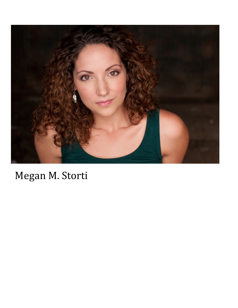

## Megan M. Storti